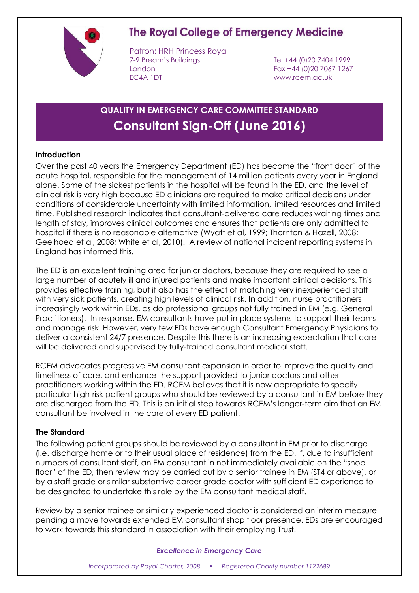

# The Royal College of Emergency Medicine

Patron: HRH Princess Royal 7-9 Bream's Buildings Tel +44 (0)20 7404 1999 London Fax +44 (0)20 7067 1267 EC4A 1DT www.rcem.ac.uk

# **QUALITY IN EMERGENCY CARE COMMITTEE STANDARD Consultant Sign-Off (June 2016)**

### **Introduction**

Over the past 40 years the Emergency Department (ED) has become the "front door" of the acute hospital, responsible for the management of 14 million patients every year in England alone. Some of the sickest patients in the hospital will be found in the ED, and the level of clinical risk is very high because ED clinicians are required to make critical decisions under conditions of considerable uncertainty with limited information, limited resources and limited time. Published research indicates that consultant-delivered care reduces waiting times and length of stay, improves clinical outcomes and ensures that patients are only admitted to hospital if there is no reasonable alternative (Wyatt et al, 1999; Thornton & Hazell, 2008; Geelhoed et al, 2008; White et al, 2010). A review of national incident reporting systems in England has informed this.

The ED is an excellent training area for junior doctors, because they are required to see a large number of acutely ill and injured patients and make important clinical decisions. This provides effective training, but it also has the effect of matching very inexperienced staff with very sick patients, creating high levels of clinical risk. In addition, nurse practitioners increasingly work within EDs, as do professional groups not fully trained in EM (e.g. General Practitioners). In response, EM consultants have put in place systems to support their teams and manage risk. However, very few EDs have enough Consultant Emergency Physicians to deliver a consistent 24/7 presence. Despite this there is an increasing expectation that care will be delivered and supervised by fully-trained consultant medical staff.

RCEM advocates progressive EM consultant expansion in order to improve the quality and timeliness of care, and enhance the support provided to junior doctors and other practitioners working within the ED. RCEM believes that it is now appropriate to specify particular high-risk patient groups who should be reviewed by a consultant in EM before they are discharged from the ED. This is an initial step towards RCEM's longer-term aim that an EM consultant be involved in the care of every ED patient.

### **The Standard**

The following patient groups should be reviewed by a consultant in EM prior to discharge (i.e. discharge home or to their usual place of residence) from the ED. If, due to insufficient numbers of consultant staff, an EM consultant in not immediately available on the "shop floor" of the ED, then review may be carried out by a senior trainee in EM (ST4 or above), or by a staff grade or similar substantive career grade doctor with sufficient ED experience to be designated to undertake this role by the EM consultant medical staff.

Review by a senior trainee or similarly experienced doctor is considered an interim measure pending a move towards extended EM consultant shop floor presence. EDs are encouraged to work towards this standard in association with their employing Trust.

### *Excellence in Emergency Care*